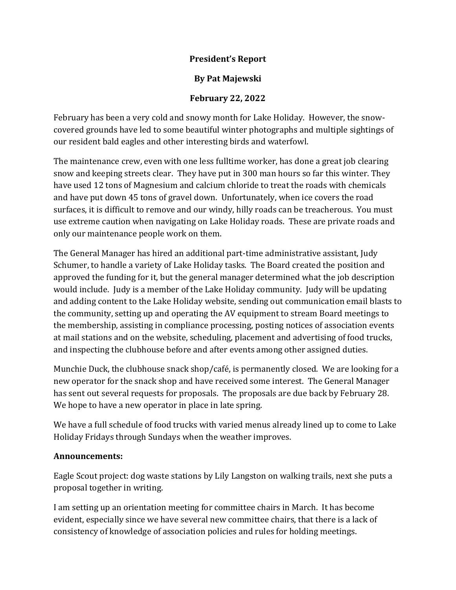## **President's Report**

## **By Pat Majewski**

## **February 22, 2022**

February has been a very cold and snowy month for Lake Holiday. However, the snowcovered grounds have led to some beautiful winter photographs and multiple sightings of our resident bald eagles and other interesting birds and waterfowl.

The maintenance crew, even with one less fulltime worker, has done a great job clearing snow and keeping streets clear. They have put in 300 man hours so far this winter. They have used 12 tons of Magnesium and calcium chloride to treat the roads with chemicals and have put down 45 tons of gravel down. Unfortunately, when ice covers the road surfaces, it is difficult to remove and our windy, hilly roads can be treacherous. You must use extreme caution when navigating on Lake Holiday roads. These are private roads and only our maintenance people work on them.

The General Manager has hired an additional part-time administrative assistant, Judy Schumer, to handle a variety of Lake Holiday tasks. The Board created the position and approved the funding for it, but the general manager determined what the job description would include. Judy is a member of the Lake Holiday community. Judy will be updating and adding content to the Lake Holiday website, sending out communication email blasts to the community, setting up and operating the AV equipment to stream Board meetings to the membership, assisting in compliance processing, posting notices of association events at mail stations and on the website, scheduling, placement and advertising of food trucks, and inspecting the clubhouse before and after events among other assigned duties.

Munchie Duck, the clubhouse snack shop/café, is permanently closed. We are looking for a new operator for the snack shop and have received some interest. The General Manager has sent out several requests for proposals. The proposals are due back by February 28. We hope to have a new operator in place in late spring.

We have a full schedule of food trucks with varied menus already lined up to come to Lake Holiday Fridays through Sundays when the weather improves.

## **Announcements:**

Eagle Scout project: dog waste stations by Lily Langston on walking trails, next she puts a proposal together in writing.

I am setting up an orientation meeting for committee chairs in March. It has become evident, especially since we have several new committee chairs, that there is a lack of consistency of knowledge of association policies and rules for holding meetings.